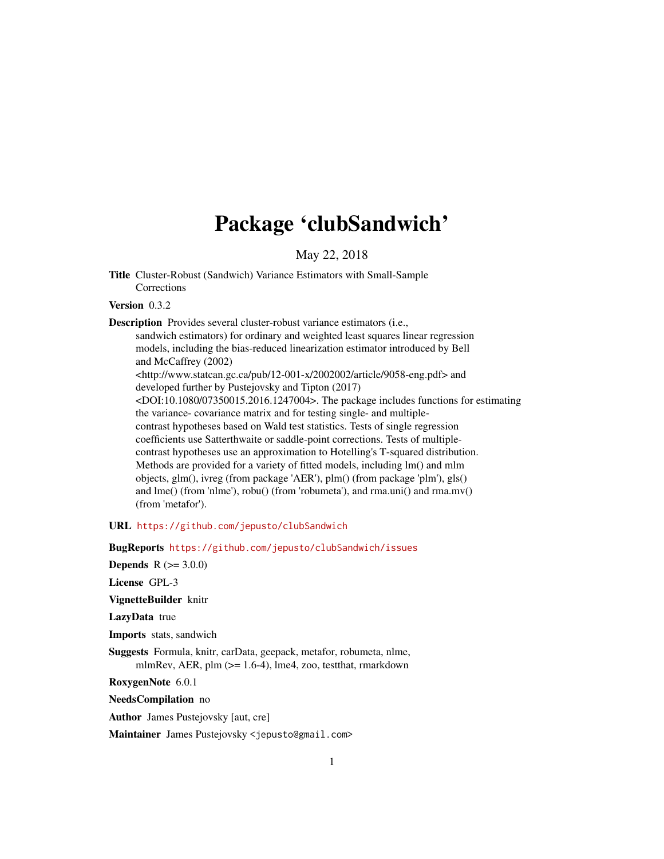# Package 'clubSandwich'

May 22, 2018

<span id="page-0-0"></span>Title Cluster-Robust (Sandwich) Variance Estimators with Small-Sample Corrections

# Version 0.3.2

Description Provides several cluster-robust variance estimators (i.e.,

sandwich estimators) for ordinary and weighted least squares linear regression models, including the bias-reduced linearization estimator introduced by Bell and McCaffrey (2002) <http://www.statcan.gc.ca/pub/12-001-x/2002002/article/9058-eng.pdf> and developed further by Pustejovsky and Tipton (2017) <DOI:10.1080/07350015.2016.1247004>. The package includes functions for estimating the variance- covariance matrix and for testing single- and multiplecontrast hypotheses based on Wald test statistics. Tests of single regression coefficients use Satterthwaite or saddle-point corrections. Tests of multiplecontrast hypotheses use an approximation to Hotelling's T-squared distribution. Methods are provided for a variety of fitted models, including lm() and mlm objects, glm(), ivreg (from package 'AER'), plm() (from package 'plm'), gls() and lme() (from 'nlme'), robu() (from 'robumeta'), and rma.uni() and rma.mv() (from 'metafor').

URL <https://github.com/jepusto/clubSandwich>

BugReports <https://github.com/jepusto/clubSandwich/issues>

**Depends**  $R (= 3.0.0)$ 

License GPL-3

VignetteBuilder knitr

LazyData true

Imports stats, sandwich

Suggests Formula, knitr, carData, geepack, metafor, robumeta, nlme, mlmRev, AER, plm ( $>= 1.6-4$ ), lme4, zoo, testthat, rmarkdown

RoxygenNote 6.0.1

NeedsCompilation no

Author James Pustejovsky [aut, cre]

Maintainer James Pustejovsky <jepusto@gmail.com>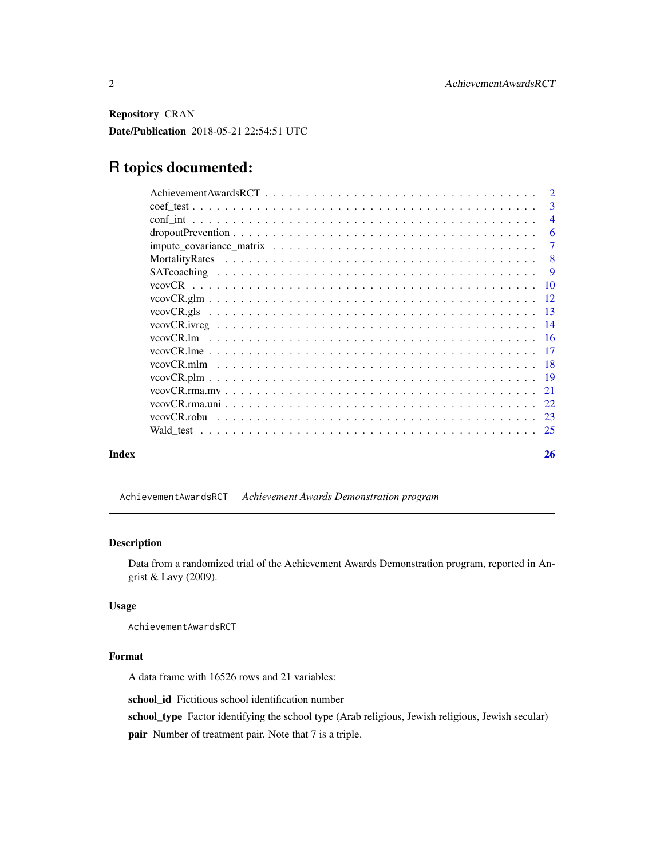<span id="page-1-0"></span>Repository CRAN

Date/Publication 2018-05-21 22:54:51 UTC

# R topics documented:

|       | 3<br>$\overline{4}$<br>6 |
|-------|--------------------------|
|       |                          |
|       |                          |
|       |                          |
|       | $\tau$                   |
|       | 8                        |
|       | -9                       |
|       |                          |
|       |                          |
|       |                          |
|       |                          |
|       |                          |
|       |                          |
|       |                          |
|       |                          |
|       | 21                       |
|       |                          |
|       |                          |
|       |                          |
| Index | 26                       |

AchievementAwardsRCT *Achievement Awards Demonstration program*

# Description

Data from a randomized trial of the Achievement Awards Demonstration program, reported in Angrist & Lavy (2009).

# Usage

AchievementAwardsRCT

# Format

A data frame with 16526 rows and 21 variables:

school\_id Fictitious school identification number

school\_type Factor identifying the school type (Arab religious, Jewish religious, Jewish secular)

pair Number of treatment pair. Note that 7 is a triple.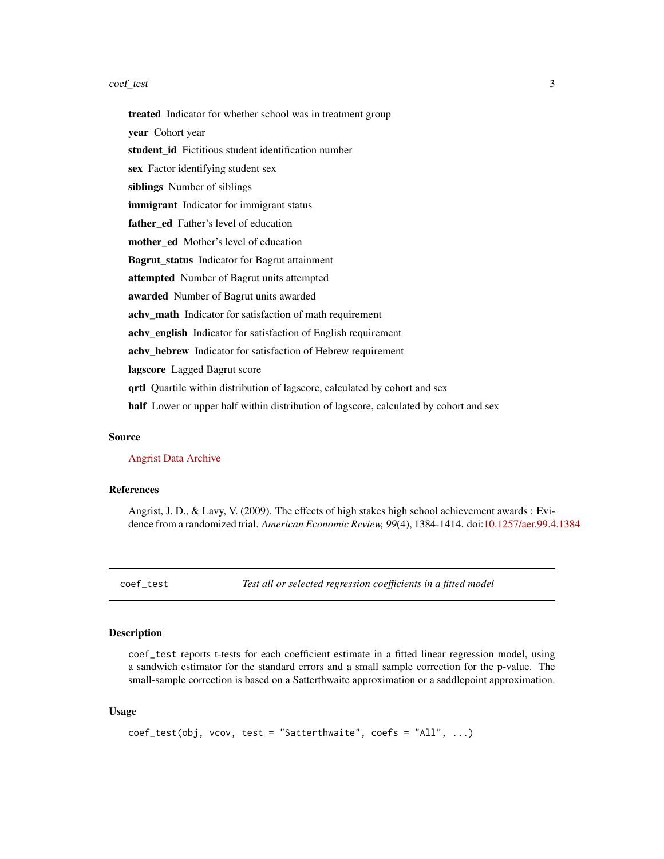#### <span id="page-2-0"></span>coef\_test 3

treated Indicator for whether school was in treatment group year Cohort year student id Fictitious student identification number sex Factor identifying student sex siblings Number of siblings immigrant Indicator for immigrant status father ed Father's level of education mother\_ed Mother's level of education Bagrut\_status Indicator for Bagrut attainment attempted Number of Bagrut units attempted awarded Number of Bagrut units awarded achv\_math Indicator for satisfaction of math requirement achv\_english Indicator for satisfaction of English requirement achv\_hebrew Indicator for satisfaction of Hebrew requirement lagscore Lagged Bagrut score qrtl Quartile within distribution of lagscore, calculated by cohort and sex half Lower or upper half within distribution of lagscore, calculated by cohort and sex

#### Source

[Angrist Data Archive](http://economics.mit.edu/faculty/angrist/data1/data/angrist)

# References

Angrist, J. D., & Lavy, V. (2009). The effects of high stakes high school achievement awards : Evidence from a randomized trial. *American Economic Review, 99*(4), 1384-1414. doi[:10.1257/aer.99.4.1384](http://dx.doi.org/10.1257/aer.99.4.1384)

coef\_test *Test all or selected regression coefficients in a fitted model*

#### Description

coef\_test reports t-tests for each coefficient estimate in a fitted linear regression model, using a sandwich estimator for the standard errors and a small sample correction for the p-value. The small-sample correction is based on a Satterthwaite approximation or a saddlepoint approximation.

#### Usage

```
coef_test(obj, vcov, test = "Satterthwaite", coefs = "All", ...)
```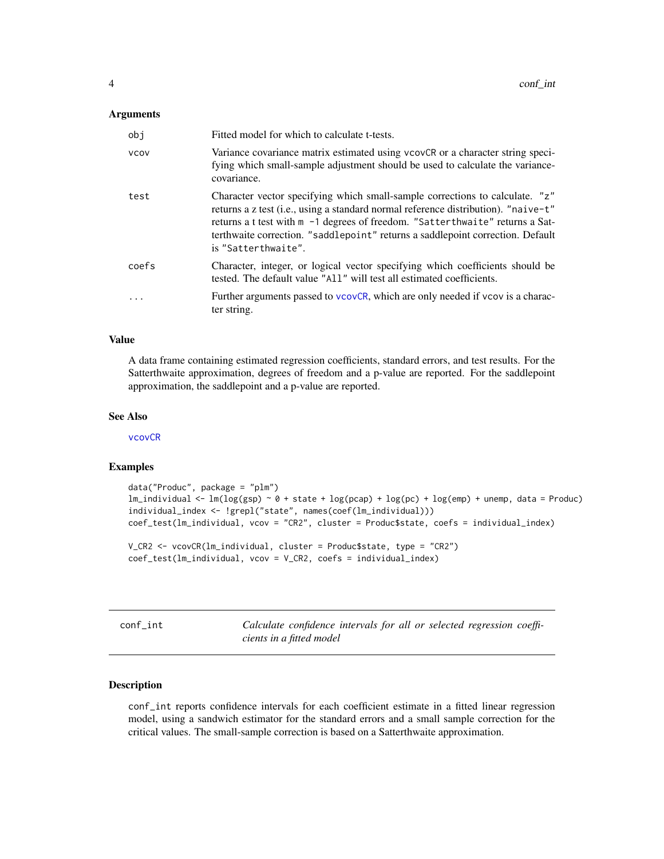#### <span id="page-3-0"></span>**Arguments**

| obi         | Fitted model for which to calculate t-tests.                                                                                                                                                                                                                                                                                                                          |
|-------------|-----------------------------------------------------------------------------------------------------------------------------------------------------------------------------------------------------------------------------------------------------------------------------------------------------------------------------------------------------------------------|
| <b>VCOV</b> | Variance covariance matrix estimated using vcovCR or a character string speci-<br>fying which small-sample adjustment should be used to calculate the variance-<br>covariance.                                                                                                                                                                                        |
| test        | Character vector specifying which small-sample corrections to calculate. "z"<br>returns a z test ( <i>i.e.</i> , using a standard normal reference distribution). "naive-t"<br>returns a t test with m -1 degrees of freedom. "Satterthwaite" returns a Sat-<br>terthwaite correction. "saddlepoint" returns a saddlepoint correction. Default<br>is "Satterthwaite". |
| coefs       | Character, integer, or logical vector specifying which coefficients should be<br>tested. The default value "A11" will test all estimated coefficients.                                                                                                                                                                                                                |
|             | Further arguments passed to vcovCR, which are only needed if vcov is a charac-<br>ter string.                                                                                                                                                                                                                                                                         |

# Value

A data frame containing estimated regression coefficients, standard errors, and test results. For the Satterthwaite approximation, degrees of freedom and a p-value are reported. For the saddlepoint approximation, the saddlepoint and a p-value are reported.

#### See Also

[vcovCR](#page-9-1)

## Examples

```
data("Produc", package = "plm")
lm\_individual < - lm(log(gsp) ~ o + state + log(pcap) + log(pc) + log(em) + unemp, data = Product)individual_index <- !grepl("state", names(coef(lm_individual)))
coef_test(lm_individual, vcov = "CR2", cluster = Produc$state, coefs = individual_index)
V_CR2 <- vcovCR(lm_individual, cluster = Produc$state, type = "CR2")
coef_test(lm_individual, vcov = V_CR2, coefs = individual_index)
```
conf\_int *Calculate confidence intervals for all or selected regression coefficients in a fitted model*

# Description

conf\_int reports confidence intervals for each coefficient estimate in a fitted linear regression model, using a sandwich estimator for the standard errors and a small sample correction for the critical values. The small-sample correction is based on a Satterthwaite approximation.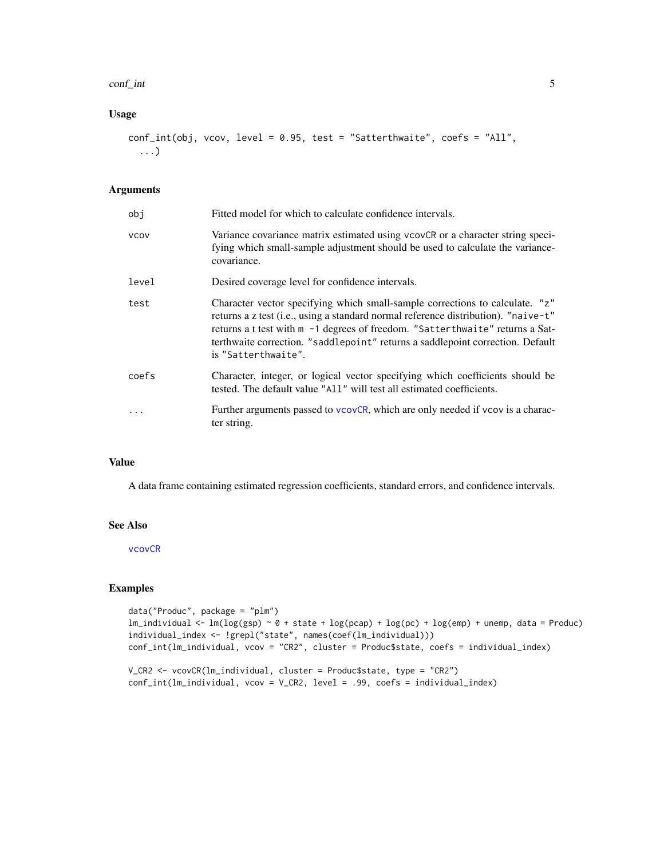#### <span id="page-4-0"></span>conf<sub>—</sub>int 5

# Usage

```
conf_int(obj, vcov, level = 0.95, test = "Satterthwaite", coefs = "All",
  ...)
```
# Arguments

| obi         | Fitted model for which to calculate confidence intervals.                                                                                                                                                                                                                                                                                                    |
|-------------|--------------------------------------------------------------------------------------------------------------------------------------------------------------------------------------------------------------------------------------------------------------------------------------------------------------------------------------------------------------|
| <b>VCOV</b> | Variance covariance matrix estimated using vcovCR or a character string speci-<br>fying which small-sample adjustment should be used to calculate the variance-<br>covariance.                                                                                                                                                                               |
| level       | Desired coverage level for confidence intervals.                                                                                                                                                                                                                                                                                                             |
| test        | Character vector specifying which small-sample corrections to calculate. "z"<br>returns a z test (i.e., using a standard normal reference distribution). "naive-t"<br>returns a t test with m -1 degrees of freedom. "Satterthwaite" returns a Sat-<br>terthwaite correction. "saddlepoint" returns a saddlepoint correction. Default<br>is "Satterthwaite". |
| coefs       | Character, integer, or logical vector specifying which coefficients should be<br>tested. The default value "All" will test all estimated coefficients.                                                                                                                                                                                                       |
| $\ddots$    | Further arguments passed to vcovCR, which are only needed if vcov is a charac-<br>ter string.                                                                                                                                                                                                                                                                |

# Value

A data frame containing estimated regression coefficients, standard errors, and confidence intervals.

# See Also

[vcovCR](#page-9-1)

# Examples

```
data("Produc", package = "plm")
lm_individual \leq -\ln(\log(\text{gsp}) \leq \theta + \text{state} + \log(\text{pcap}) + \log(\text{pc}) + \log(\text{emp}) + \text{unemp, data} = \text{Product})individual_index <- !grepl("state", names(coef(lm_individual)))
conf_int(lm_individual, vcov = "CR2", cluster = Produc$state, coefs = individual_index)
V_CR2 <- vcovCR(lm_individual, cluster = Produc$state, type = "CR2")
conf_int(lm_individual, vcov = V_CR2, level = .99, coefs = individual_index)
```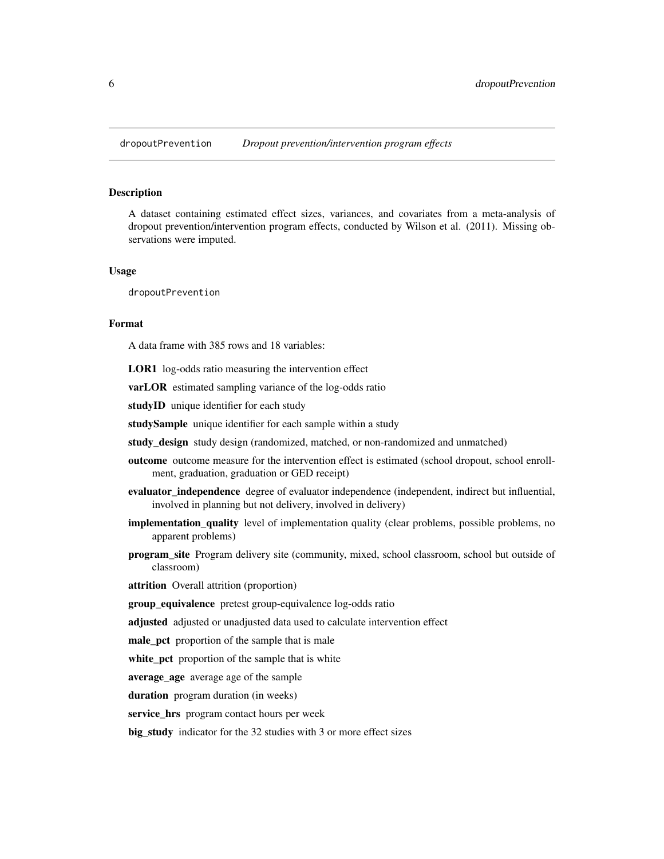<span id="page-5-0"></span>

# **Description**

A dataset containing estimated effect sizes, variances, and covariates from a meta-analysis of dropout prevention/intervention program effects, conducted by Wilson et al. (2011). Missing observations were imputed.

#### Usage

dropoutPrevention

# Format

A data frame with 385 rows and 18 variables:

LOR1 log-odds ratio measuring the intervention effect

varLOR estimated sampling variance of the log-odds ratio

studyID unique identifier for each study

studySample unique identifier for each sample within a study

study\_design study design (randomized, matched, or non-randomized and unmatched)

- outcome outcome measure for the intervention effect is estimated (school dropout, school enrollment, graduation, graduation or GED receipt)
- evaluator independence degree of evaluator independence (independent, indirect but influential, involved in planning but not delivery, involved in delivery)
- implementation\_quality level of implementation quality (clear problems, possible problems, no apparent problems)
- program\_site Program delivery site (community, mixed, school classroom, school but outside of classroom)

attrition Overall attrition (proportion)

group equivalence pretest group-equivalence log-odds ratio

adjusted adjusted or unadjusted data used to calculate intervention effect

male pct proportion of the sample that is male

white\_pct proportion of the sample that is white

average\_age average age of the sample

duration program duration (in weeks)

service\_hrs program contact hours per week

big\_study indicator for the 32 studies with 3 or more effect sizes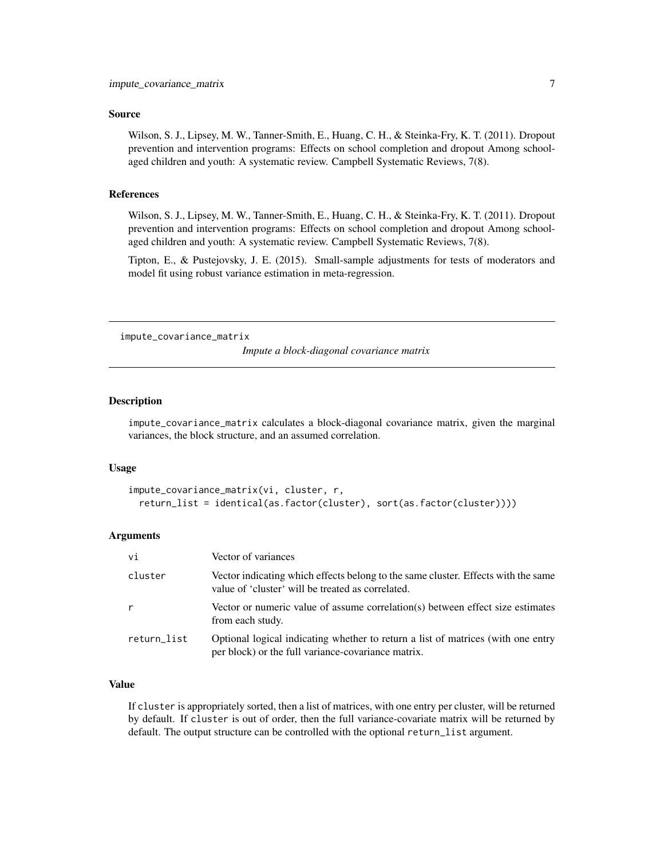#### <span id="page-6-0"></span>Source

Wilson, S. J., Lipsey, M. W., Tanner-Smith, E., Huang, C. H., & Steinka-Fry, K. T. (2011). Dropout prevention and intervention programs: Effects on school completion and dropout Among schoolaged children and youth: A systematic review. Campbell Systematic Reviews, 7(8).

#### References

Wilson, S. J., Lipsey, M. W., Tanner-Smith, E., Huang, C. H., & Steinka-Fry, K. T. (2011). Dropout prevention and intervention programs: Effects on school completion and dropout Among schoolaged children and youth: A systematic review. Campbell Systematic Reviews, 7(8).

Tipton, E., & Pustejovsky, J. E. (2015). Small-sample adjustments for tests of moderators and model fit using robust variance estimation in meta-regression.

impute\_covariance\_matrix

*Impute a block-diagonal covariance matrix*

#### **Description**

impute\_covariance\_matrix calculates a block-diagonal covariance matrix, given the marginal variances, the block structure, and an assumed correlation.

#### Usage

```
impute_covariance_matrix(vi, cluster, r,
 return_list = identical(as.factor(cluster), sort(as.factor(cluster))))
```
# Arguments

| vi          | Vector of variances                                                                                                                    |
|-------------|----------------------------------------------------------------------------------------------------------------------------------------|
| cluster     | Vector indicating which effects belong to the same cluster. Effects with the same<br>value of 'cluster' will be treated as correlated. |
| r           | Vector or numeric value of assume correlation(s) between effect size estimates<br>from each study.                                     |
| return_list | Optional logical indicating whether to return a list of matrices (with one entry<br>per block) or the full variance-covariance matrix. |

#### Value

If cluster is appropriately sorted, then a list of matrices, with one entry per cluster, will be returned by default. If cluster is out of order, then the full variance-covariate matrix will be returned by default. The output structure can be controlled with the optional return\_list argument.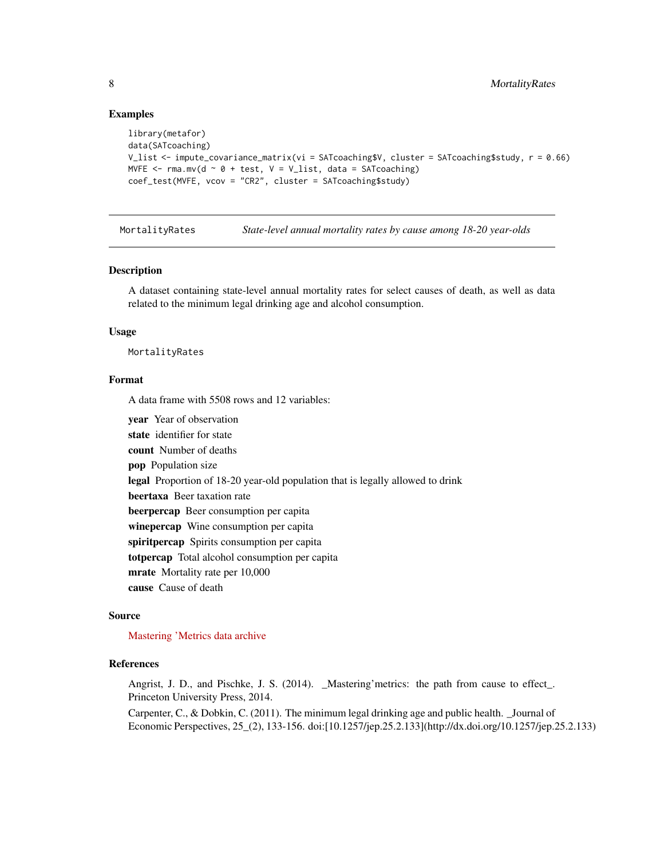#### Examples

```
library(metafor)
data(SATcoaching)
V_list <- impute_covariance_matrix(vi = SATcoaching$V, cluster = SATcoaching$study, r = 0.66)
MVFE \leq rma.mv(d \sim 0 + test, V = V_list, data = SATcoaching)
coef_test(MVFE, vcov = "CR2", cluster = SATcoaching$study)
```
MortalityRates *State-level annual mortality rates by cause among 18-20 year-olds*

#### **Description**

A dataset containing state-level annual mortality rates for select causes of death, as well as data related to the minimum legal drinking age and alcohol consumption.

#### Usage

MortalityRates

#### Format

A data frame with 5508 rows and 12 variables:

year Year of observation state identifier for state count Number of deaths pop Population size legal Proportion of 18-20 year-old population that is legally allowed to drink beertaxa Beer taxation rate beerpercap Beer consumption per capita winepercap Wine consumption per capita spiritpercap Spirits consumption per capita totpercap Total alcohol consumption per capita mrate Mortality rate per 10,000 cause Cause of death

# Source

[Mastering 'Metrics data archive](http://masteringmetrics.com/wp-content/uploads/2015/01/deaths.dta)

#### References

Angrist, J. D., and Pischke, J. S. (2014). \_Mastering'metrics: the path from cause to effect\_. Princeton University Press, 2014.

Carpenter, C., & Dobkin, C. (2011). The minimum legal drinking age and public health. \_Journal of Economic Perspectives, 25\_(2), 133-156. doi:[10.1257/jep.25.2.133](http://dx.doi.org/10.1257/jep.25.2.133)

<span id="page-7-0"></span>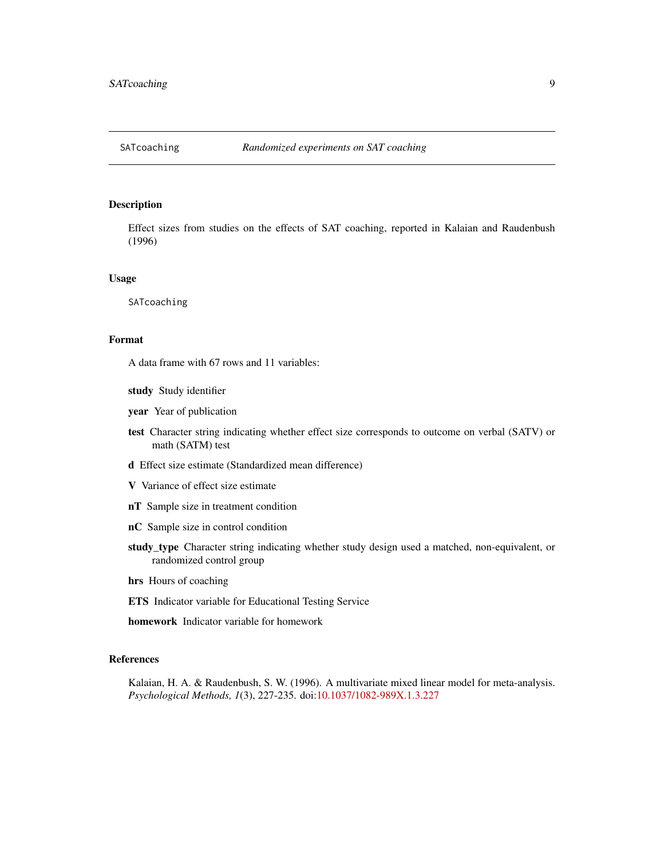#### <span id="page-8-0"></span>Description

Effect sizes from studies on the effects of SAT coaching, reported in Kalaian and Raudenbush (1996)

#### Usage

SATcoaching

# Format

A data frame with 67 rows and 11 variables:

- study Study identifier
- year Year of publication
- test Character string indicating whether effect size corresponds to outcome on verbal (SATV) or math (SATM) test
- d Effect size estimate (Standardized mean difference)
- V Variance of effect size estimate
- nT Sample size in treatment condition
- nC Sample size in control condition
- study\_type Character string indicating whether study design used a matched, non-equivalent, or randomized control group
- hrs Hours of coaching
- ETS Indicator variable for Educational Testing Service
- homework Indicator variable for homework

# References

Kalaian, H. A. & Raudenbush, S. W. (1996). A multivariate mixed linear model for meta-analysis. *Psychological Methods, 1*(3), 227-235. doi[:10.1037/1082-989X.1.3.227](http://dx.doi.org/10.1037/1082-989X.1.3.227)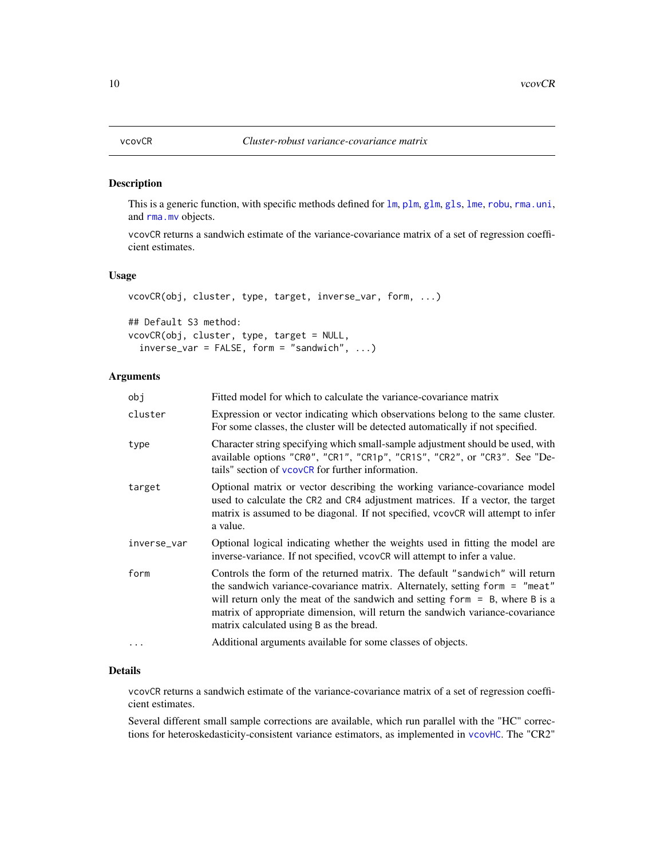#### <span id="page-9-1"></span><span id="page-9-0"></span>Description

This is a generic function, with specific methods defined for  $lm$ ,  $plm$ ,  $glm$ ,  $gls$ ,  $lme$ ,  $robu$ ,  $rma.uni$ , and [rma.mv](#page-0-0) objects.

vcovCR returns a sandwich estimate of the variance-covariance matrix of a set of regression coefficient estimates.

# Usage

vcovCR(obj, cluster, type, target, inverse\_var, form, ...) ## Default S3 method: vcovCR(obj, cluster, type, target = NULL,  $inverse\_var = FALSE, form = "sandwich", ...)$ 

# Arguments

| obi         | Fitted model for which to calculate the variance-covariance matrix                                                                                                                                                                                                                                                                                                        |
|-------------|---------------------------------------------------------------------------------------------------------------------------------------------------------------------------------------------------------------------------------------------------------------------------------------------------------------------------------------------------------------------------|
| cluster     | Expression or vector indicating which observations belong to the same cluster.<br>For some classes, the cluster will be detected automatically if not specified.                                                                                                                                                                                                          |
| type        | Character string specifying which small-sample adjustment should be used, with<br>available options "CR0", "CR1", "CR1p", "CR1S", "CR2", or "CR3". See "De-<br>tails" section of vcovCR for further information.                                                                                                                                                          |
| target      | Optional matrix or vector describing the working variance-covariance model<br>used to calculate the CR2 and CR4 adjustment matrices. If a vector, the target<br>matrix is assumed to be diagonal. If not specified, vcovCR will attempt to infer<br>a value.                                                                                                              |
| inverse_var | Optional logical indicating whether the weights used in fitting the model are<br>inverse-variance. If not specified, vcovCR will attempt to infer a value.                                                                                                                                                                                                                |
| form        | Controls the form of the returned matrix. The default "sandwich" will return<br>the sandwich variance-covariance matrix. Alternately, setting form = "meat"<br>will return only the meat of the sandwich and setting form $=$ B, where B is a<br>matrix of appropriate dimension, will return the sandwich variance-covariance<br>matrix calculated using B as the bread. |
| .           | Additional arguments available for some classes of objects.                                                                                                                                                                                                                                                                                                               |

#### Details

vcovCR returns a sandwich estimate of the variance-covariance matrix of a set of regression coefficient estimates.

Several different small sample corrections are available, which run parallel with the "HC" corrections for heteroskedasticity-consistent variance estimators, as implemented in [vcovHC](#page-0-0). The "CR2"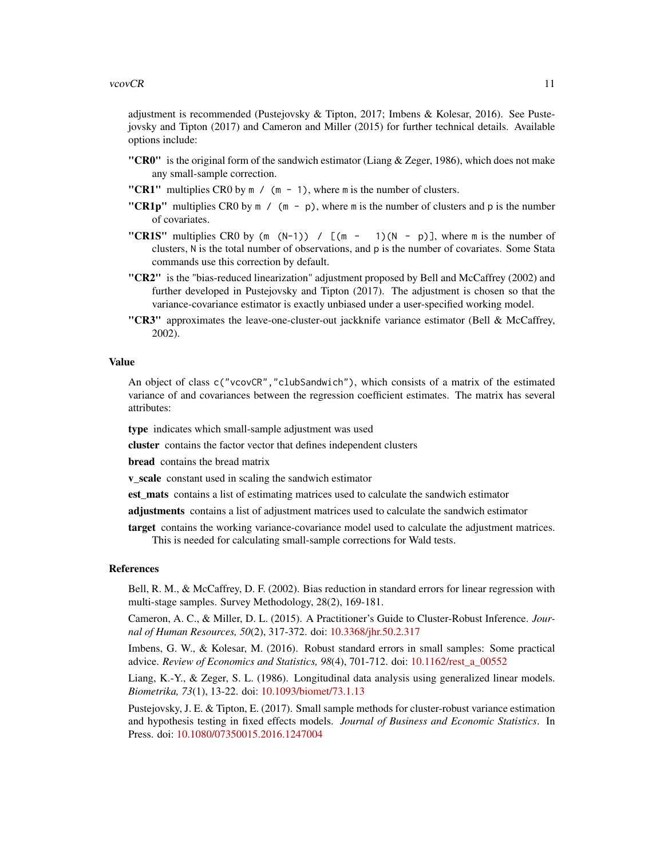#### vcovCR 11

adjustment is recommended (Pustejovsky & Tipton, 2017; Imbens & Kolesar, 2016). See Pustejovsky and Tipton (2017) and Cameron and Miller (2015) for further technical details. Available options include:

- "CR0" is the original form of the sandwich estimator (Liang  $\&$  Zeger, 1986), which does not make any small-sample correction.
- "CR1" multiplies CR0 by  $m / (m 1)$ , where m is the number of clusters.
- "CR1p" multiplies CR0 by  $m / (m p)$ , where m is the number of clusters and p is the number of covariates.
- "CR1S" multiplies CR0 by  $(m (N-1)) / [(m 1)(N p)]$ , where m is the number of clusters, N is the total number of observations, and p is the number of covariates. Some Stata commands use this correction by default.
- "CR2" is the "bias-reduced linearization" adjustment proposed by Bell and McCaffrey (2002) and further developed in Pustejovsky and Tipton (2017). The adjustment is chosen so that the variance-covariance estimator is exactly unbiased under a user-specified working model.
- "CR3" approximates the leave-one-cluster-out jackknife variance estimator (Bell  $\&$  McCaffrey, 2002).

# Value

An object of class c("vcovCR","clubSandwich"), which consists of a matrix of the estimated variance of and covariances between the regression coefficient estimates. The matrix has several attributes:

type indicates which small-sample adjustment was used

cluster contains the factor vector that defines independent clusters

**bread** contains the bread matrix

v\_scale constant used in scaling the sandwich estimator

est\_mats contains a list of estimating matrices used to calculate the sandwich estimator

adjustments contains a list of adjustment matrices used to calculate the sandwich estimator

target contains the working variance-covariance model used to calculate the adjustment matrices. This is needed for calculating small-sample corrections for Wald tests.

#### References

Bell, R. M., & McCaffrey, D. F. (2002). Bias reduction in standard errors for linear regression with multi-stage samples. Survey Methodology, 28(2), 169-181.

Cameron, A. C., & Miller, D. L. (2015). A Practitioner's Guide to Cluster-Robust Inference. *Journal of Human Resources, 50*(2), 317-372. doi: [10.3368/jhr.50.2.317](http://doi.org/10.3368/jhr.50.2.317)

Imbens, G. W., & Kolesar, M. (2016). Robust standard errors in small samples: Some practical advice. *Review of Economics and Statistics, 98*(4), 701-712. doi: [10.1162/rest\\_a\\_00552](http://doi.org/10.1162/rest_a_00552)

Liang, K.-Y., & Zeger, S. L. (1986). Longitudinal data analysis using generalized linear models. *Biometrika, 73*(1), 13-22. doi: [10.1093/biomet/73.1.13](http://doi.org/10.1093/biomet/73.1.13)

Pustejovsky, J. E. & Tipton, E. (2017). Small sample methods for cluster-robust variance estimation and hypothesis testing in fixed effects models. *Journal of Business and Economic Statistics*. In Press. doi: [10.1080/07350015.2016.1247004](http://doi.org/10.1080/07350015.2016.1247004)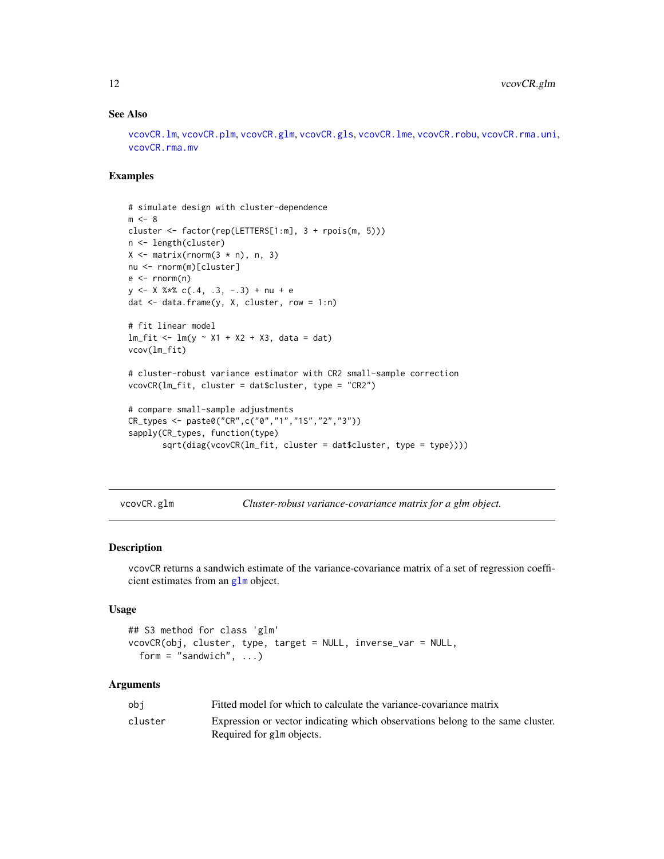#### See Also

[vcovCR.lm](#page-15-1), [vcovCR.plm](#page-18-1), [vcovCR.glm](#page-11-1), [vcovCR.gls](#page-12-1), [vcovCR.lme](#page-16-1), [vcovCR.robu](#page-22-1), [vcovCR.rma.uni](#page-21-1), [vcovCR.rma.mv](#page-20-1)

#### Examples

```
# simulate design with cluster-dependence
m < - 8cluster <- factor(rep(LETTERS[1:m], 3 + rpois(m, 5)))
n <- length(cluster)
X \leftarrow matrix(rnorm(3 * n), n, 3)nu <- rnorm(m)[cluster]
e \le -rnorm(n)y \le - X %*% c(.4, .3, -.3) + nu + e
dat <- data.frame(y, X, cluster, row = 1:n)
# fit linear model
lm_fit <- lm(y \sim X1 + X2 + X3, data = dat)
vcov(lm_fit)
# cluster-robust variance estimator with CR2 small-sample correction
vcovCR(lm_fit, cluster = dat$cluster, type = "CR2")
# compare small-sample adjustments
CR_types <- paste0("CR",c("0","1","1S","2","3"))
sapply(CR_types, function(type)
       sqrt(diag(vcovCR(lm_fit, cluster = dat$cluster, type = type))))
```
<span id="page-11-1"></span>vcovCR.glm *Cluster-robust variance-covariance matrix for a glm object.*

## Description

vcovCR returns a sandwich estimate of the variance-covariance matrix of a set of regression coefficient estimates from an [glm](#page-0-0) object.

#### Usage

```
## S3 method for class 'glm'
vcovCR(obj, cluster, type, target = NULL, inverse_var = NULL,
  form = "sandwich", \ldots)
```
#### Arguments

| obi     | Fitted model for which to calculate the variance-covariance matrix                                          |
|---------|-------------------------------------------------------------------------------------------------------------|
| cluster | Expression or vector indicating which observations belong to the same cluster.<br>Required for glm objects. |

<span id="page-11-0"></span>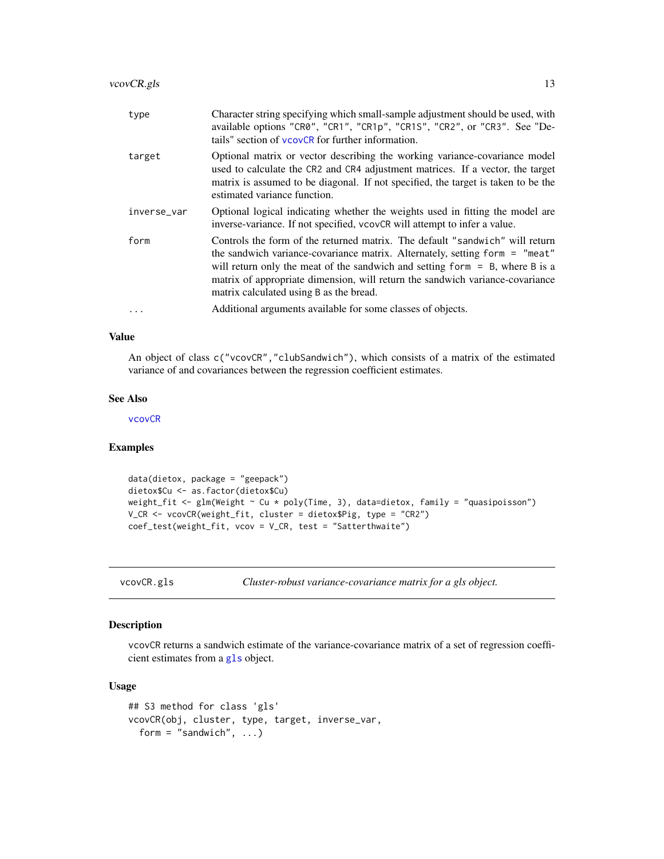<span id="page-12-0"></span>

| type        | Character string specifying which small-sample adjustment should be used, with<br>available options "CR0", "CR1", "CR1p", "CR1S", "CR2", or "CR3". See "De-<br>tails" section of vcovCR for further information.                                                                                                                                                          |
|-------------|---------------------------------------------------------------------------------------------------------------------------------------------------------------------------------------------------------------------------------------------------------------------------------------------------------------------------------------------------------------------------|
| target      | Optional matrix or vector describing the working variance-covariance model<br>used to calculate the CR2 and CR4 adjustment matrices. If a vector, the target<br>matrix is assumed to be diagonal. If not specified, the target is taken to be the<br>estimated variance function.                                                                                         |
| inverse_var | Optional logical indicating whether the weights used in fitting the model are<br>inverse-variance. If not specified, vcovCR will attempt to infer a value.                                                                                                                                                                                                                |
| form        | Controls the form of the returned matrix. The default "sandwich" will return<br>the sandwich variance-covariance matrix. Alternately, setting form = "meat"<br>will return only the meat of the sandwich and setting form $=$ B, where B is a<br>matrix of appropriate dimension, will return the sandwich variance-covariance<br>matrix calculated using B as the bread. |
| $\ddots$ .  | Additional arguments available for some classes of objects.                                                                                                                                                                                                                                                                                                               |

An object of class c("vcovCR","clubSandwich"), which consists of a matrix of the estimated variance of and covariances between the regression coefficient estimates.

#### See Also

[vcovCR](#page-9-1)

# Examples

```
data(dietox, package = "geepack")
dietox$Cu <- as.factor(dietox$Cu)
weight_fit <- glm(Weight ~ Cu * poly(Time, 3), data=dietox, family = "quasipoisson")
V_CR <- vcovCR(weight_fit, cluster = dietox$Pig, type = "CR2")
coef_test(weight_fit, vcov = V_CR, test = "Satterthwaite")
```
<span id="page-12-1"></span>vcovCR.gls *Cluster-robust variance-covariance matrix for a gls object.*

#### Description

vcovCR returns a sandwich estimate of the variance-covariance matrix of a set of regression coefficient estimates from a [gls](#page-0-0) object.

#### Usage

```
## S3 method for class 'gls'
vcovCR(obj, cluster, type, target, inverse_var,
  form = "sandwich", \ldots)
```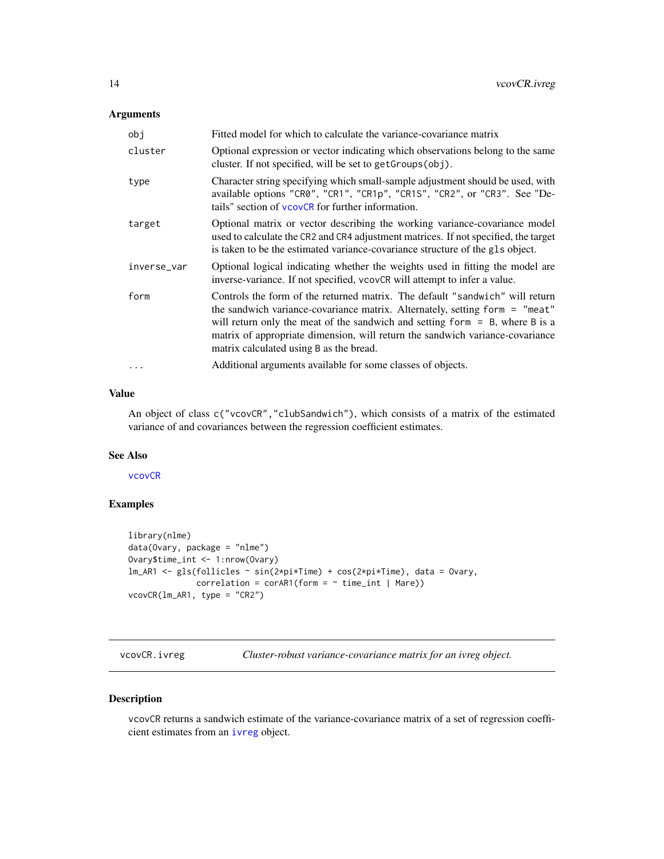# <span id="page-13-0"></span>Arguments

| obj         | Fitted model for which to calculate the variance-covariance matrix                                                                                                                                                                                                                                                                                                          |
|-------------|-----------------------------------------------------------------------------------------------------------------------------------------------------------------------------------------------------------------------------------------------------------------------------------------------------------------------------------------------------------------------------|
| cluster     | Optional expression or vector indicating which observations belong to the same<br>cluster. If not specified, will be set to getGroups(obj).                                                                                                                                                                                                                                 |
| type        | Character string specifying which small-sample adjustment should be used, with<br>available options "CR0", "CR1", "CR1p", "CR1S", "CR2", or "CR3". See "De-<br>tails" section of vcovCR for further information.                                                                                                                                                            |
| target      | Optional matrix or vector describing the working variance-covariance model<br>used to calculate the CR2 and CR4 adjustment matrices. If not specified, the target<br>is taken to be the estimated variance-covariance structure of the gls object.                                                                                                                          |
| inverse_var | Optional logical indicating whether the weights used in fitting the model are<br>inverse-variance. If not specified, vcovCR will attempt to infer a value.                                                                                                                                                                                                                  |
| form        | Controls the form of the returned matrix. The default "sandwich" will return<br>the sandwich variance-covariance matrix. Alternately, setting form $=$ "meat"<br>will return only the meat of the sandwich and setting form $=$ B, where B is a<br>matrix of appropriate dimension, will return the sandwich variance-covariance<br>matrix calculated using B as the bread. |
| $\cdots$    | Additional arguments available for some classes of objects.                                                                                                                                                                                                                                                                                                                 |

# Value

An object of class c("vcovCR","clubSandwich"), which consists of a matrix of the estimated variance of and covariances between the regression coefficient estimates.

# See Also

[vcovCR](#page-9-1)

# Examples

```
library(nlme)
data(Ovary, package = "nlme")
Ovary$time_int <- 1:nrow(Ovary)
lm_AR1 <- gls(follicles ~ sin(2*pi*Time) + cos(2*pi*Time), data = Ovary,
              correlation = corAR1(form = ~ time\_int ~ | ~ Mare))vcovCR(lm_AR1, type = "CR2")
```
vcovCR.ivreg *Cluster-robust variance-covariance matrix for an ivreg object.*

# Description

vcovCR returns a sandwich estimate of the variance-covariance matrix of a set of regression coefficient estimates from an [ivreg](#page-0-0) object.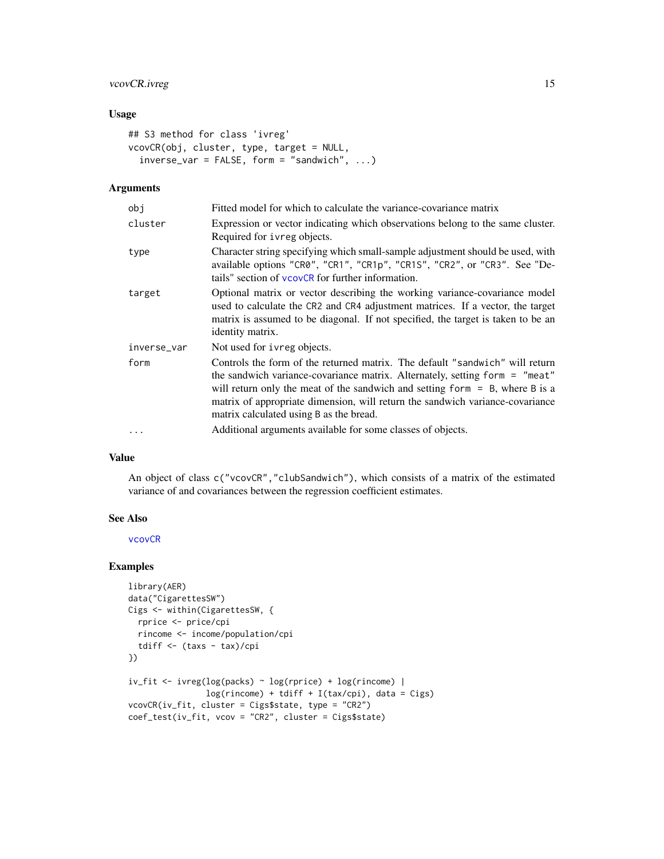# vcovCR.ivreg 15

# Usage

```
## S3 method for class 'ivreg'
vcovCR(obj, cluster, type, target = NULL,
  inverse\_var = FALSE, form = "sandwich", ...)
```
# Arguments

| obj         | Fitted model for which to calculate the variance-covariance matrix                                                                                                                                                                                                                                                                                                        |
|-------------|---------------------------------------------------------------------------------------------------------------------------------------------------------------------------------------------------------------------------------------------------------------------------------------------------------------------------------------------------------------------------|
| cluster     | Expression or vector indicating which observations belong to the same cluster.<br>Required for ivreg objects.                                                                                                                                                                                                                                                             |
| type        | Character string specifying which small-sample adjustment should be used, with<br>available options "CR0", "CR1", "CR1p", "CR1S", "CR2", or "CR3". See "De-<br>tails" section of vcovCR for further information.                                                                                                                                                          |
| target      | Optional matrix or vector describing the working variance-covariance model<br>used to calculate the CR2 and CR4 adjustment matrices. If a vector, the target<br>matrix is assumed to be diagonal. If not specified, the target is taken to be an<br>identity matrix.                                                                                                      |
| inverse_var | Not used for ivreg objects.                                                                                                                                                                                                                                                                                                                                               |
| form        | Controls the form of the returned matrix. The default "sandwich" will return<br>the sandwich variance-covariance matrix. Alternately, setting form = "meat"<br>will return only the meat of the sandwich and setting form $=$ B, where B is a<br>matrix of appropriate dimension, will return the sandwich variance-covariance<br>matrix calculated using B as the bread. |
| .           | Additional arguments available for some classes of objects.                                                                                                                                                                                                                                                                                                               |

#### Value

An object of class c("vcovCR","clubSandwich"), which consists of a matrix of the estimated variance of and covariances between the regression coefficient estimates.

# See Also

[vcovCR](#page-9-1)

# Examples

```
library(AER)
data("CigarettesSW")
Cigs <- within(CigarettesSW, {
 rprice <- price/cpi
  rincome <- income/population/cpi
  tdiff <- (taxs - tax)/cpi
})
iv_fit <- ivreg(log(packs) ~ log(rprice) + log(rincome) |
                log(rincome) + tdiff + I(tax/cpi), data = Cigs)
vcovCR(iv_fit, cluster = Cigs$state, type = "CR2")
coef_test(iv_fit, vcov = "CR2", cluster = Cigs$state)
```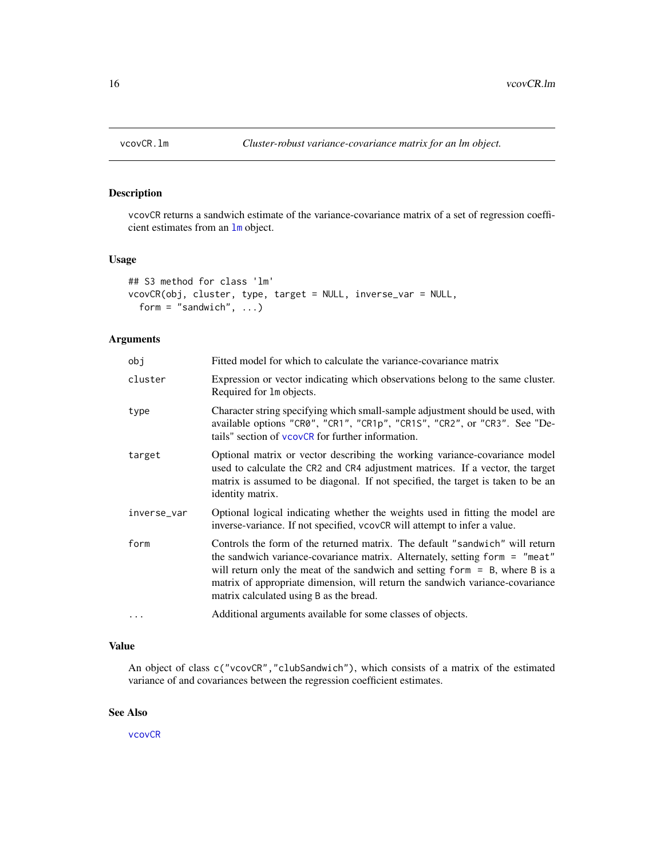<span id="page-15-1"></span><span id="page-15-0"></span>

# Description

vcovCR returns a sandwich estimate of the variance-covariance matrix of a set of regression coefficient estimates from an [lm](#page-0-0) object.

#### Usage

```
## S3 method for class 'lm'
vcovCR(obj, cluster, type, target = NULL, inverse_var = NULL,
  form = "sandwich", \ldots)
```
# Arguments

| obj         | Fitted model for which to calculate the variance-covariance matrix                                                                                                                                                                                                                                                                                                        |
|-------------|---------------------------------------------------------------------------------------------------------------------------------------------------------------------------------------------------------------------------------------------------------------------------------------------------------------------------------------------------------------------------|
| cluster     | Expression or vector indicating which observations belong to the same cluster.<br>Required for 1m objects.                                                                                                                                                                                                                                                                |
| type        | Character string specifying which small-sample adjustment should be used, with<br>available options "CR0", "CR1", "CR1p", "CR1S", "CR2", or "CR3". See "De-<br>tails" section of vcovCR for further information.                                                                                                                                                          |
| target      | Optional matrix or vector describing the working variance-covariance model<br>used to calculate the CR2 and CR4 adjustment matrices. If a vector, the target<br>matrix is assumed to be diagonal. If not specified, the target is taken to be an<br>identity matrix.                                                                                                      |
| inverse_var | Optional logical indicating whether the weights used in fitting the model are<br>inverse-variance. If not specified, vcovCR will attempt to infer a value.                                                                                                                                                                                                                |
| form        | Controls the form of the returned matrix. The default "sandwich" will return<br>the sandwich variance-covariance matrix. Alternately, setting form = "meat"<br>will return only the meat of the sandwich and setting form $=$ B, where B is a<br>matrix of appropriate dimension, will return the sandwich variance-covariance<br>matrix calculated using B as the bread. |
| $\cdots$    | Additional arguments available for some classes of objects.                                                                                                                                                                                                                                                                                                               |

# Value

An object of class c("vcovCR","clubSandwich"), which consists of a matrix of the estimated variance of and covariances between the regression coefficient estimates.

# See Also

[vcovCR](#page-9-1)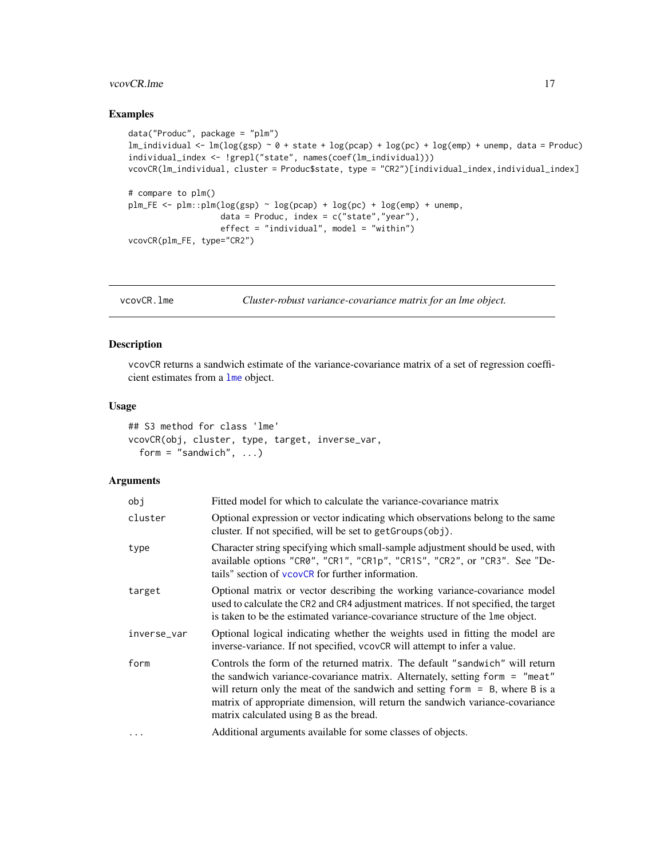#### <span id="page-16-0"></span>vcovCR.lme 17

# Examples

```
data("Produc", package = "plm")
lm\_individual < - lm(log(gsp) ~ o + state + log(pcap) + log(pc) + log(em) + unemp, data = Product)individual_index <- !grepl("state", names(coef(lm_individual)))
vcovCR(lm_individual, cluster = Produc$state, type = "CR2")[individual_index,individual_index]
# compare to plm()
plm_FE \leq plm::plm(log(gsp) \sim log(pcap) + log(pc) + log(emp) + unemp,data = Produc, index = c("state", "year"),effect = "individual", model = "within")vcovCR(plm_FE, type="CR2")
```
<span id="page-16-1"></span>

vcovCR.lme *Cluster-robust variance-covariance matrix for an lme object.*

#### Description

vcovCR returns a sandwich estimate of the variance-covariance matrix of a set of regression coefficient estimates from a [lme](#page-0-0) object.

#### Usage

```
## S3 method for class 'lme'
vcovCR(obj, cluster, type, target, inverse_var,
  form = "sandwich", \ldots)
```
#### Arguments

| obj         | Fitted model for which to calculate the variance-covariance matrix                                                                                                                                                                                                                                                                                                          |
|-------------|-----------------------------------------------------------------------------------------------------------------------------------------------------------------------------------------------------------------------------------------------------------------------------------------------------------------------------------------------------------------------------|
| cluster     | Optional expression or vector indicating which observations belong to the same<br>cluster. If not specified, will be set to get Groups (obj).                                                                                                                                                                                                                               |
| type        | Character string specifying which small-sample adjustment should be used, with<br>available options "CR0", "CR1", "CR1p", "CR1S", "CR2", or "CR3". See "De-<br>tails" section of vcovCR for further information.                                                                                                                                                            |
| target      | Optional matrix or vector describing the working variance-covariance model<br>used to calculate the CR2 and CR4 adjustment matrices. If not specified, the target<br>is taken to be the estimated variance-covariance structure of the lme object.                                                                                                                          |
| inverse_var | Optional logical indicating whether the weights used in fitting the model are<br>inverse-variance. If not specified, vcovCR will attempt to infer a value.                                                                                                                                                                                                                  |
| form        | Controls the form of the returned matrix. The default "sandwich" will return<br>the sandwich variance-covariance matrix. Alternately, setting form $=$ "meat"<br>will return only the meat of the sandwich and setting form $=$ B, where B is a<br>matrix of appropriate dimension, will return the sandwich variance-covariance<br>matrix calculated using B as the bread. |
| $\ddots$    | Additional arguments available for some classes of objects.                                                                                                                                                                                                                                                                                                                 |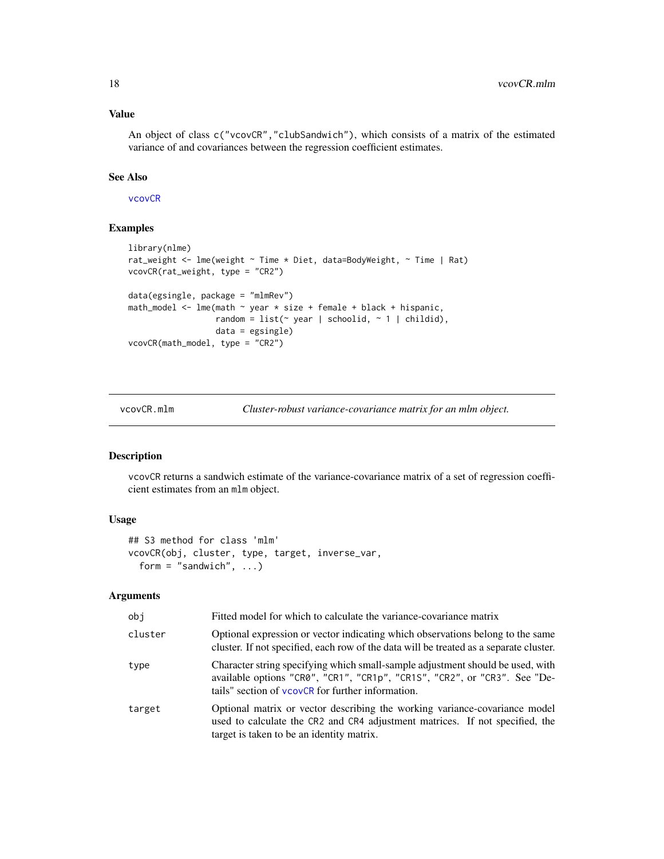An object of class c("vcovCR","clubSandwich"), which consists of a matrix of the estimated variance of and covariances between the regression coefficient estimates.

#### See Also

[vcovCR](#page-9-1)

# Examples

```
library(nlme)
rat_weight <- lme(weight ~ Time * Diet, data=BodyWeight, ~ Time | Rat)
vcovCR(rat_weight, type = "CR2")
data(egsingle, package = "mlmRev")
math_model <- lme(math ~ year * size + female + black + hispanic,
                  random = list(\sim year | schoolid, \sim 1 | childid),
                  data = egsingle)
vcovCR(math_model, type = "CR2")
```
vcovCR.mlm *Cluster-robust variance-covariance matrix for an mlm object.*

#### Description

vcovCR returns a sandwich estimate of the variance-covariance matrix of a set of regression coefficient estimates from an mlm object.

# Usage

```
## S3 method for class 'mlm'
vcovCR(obj, cluster, type, target, inverse_var,
  form = "sandwich", \ldots)
```
# Arguments

| obj     | Fitted model for which to calculate the variance-covariance matrix                                                                                                                                               |
|---------|------------------------------------------------------------------------------------------------------------------------------------------------------------------------------------------------------------------|
| cluster | Optional expression or vector indicating which observations belong to the same<br>cluster. If not specified, each row of the data will be treated as a separate cluster.                                         |
| type    | Character string specifying which small-sample adjustment should be used, with<br>available options "CR0", "CR1", "CR1p", "CR1S", "CR2", or "CR3". See "De-<br>tails" section of vcovCR for further information. |
| target  | Optional matrix or vector describing the working variance-covariance model<br>used to calculate the CR2 and CR4 adjustment matrices. If not specified, the<br>target is taken to be an identity matrix.          |

<span id="page-17-0"></span>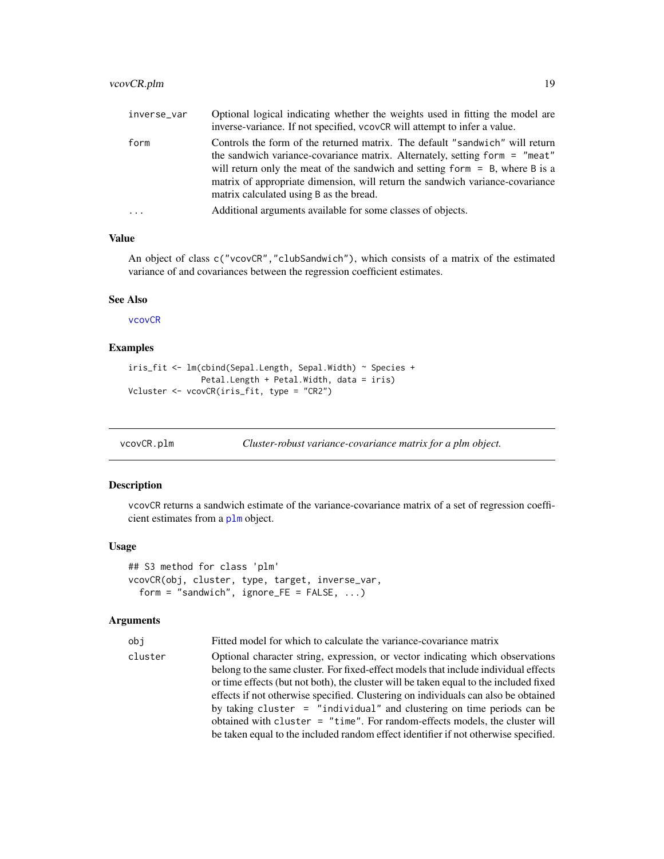<span id="page-18-0"></span>

| inverse_var | Optional logical indicating whether the weights used in fitting the model are<br>inverse-variance. If not specified, vcovCR will attempt to infer a value.                                                                                                                                                                                                                |
|-------------|---------------------------------------------------------------------------------------------------------------------------------------------------------------------------------------------------------------------------------------------------------------------------------------------------------------------------------------------------------------------------|
| form        | Controls the form of the returned matrix. The default "sandwich" will return<br>the sandwich variance-covariance matrix. Alternately, setting form = "meat"<br>will return only the meat of the sandwich and setting form $=$ B, where B is a<br>matrix of appropriate dimension, will return the sandwich variance-covariance<br>matrix calculated using B as the bread. |
| $\cdots$    | Additional arguments available for some classes of objects.                                                                                                                                                                                                                                                                                                               |

An object of class c("vcovCR","clubSandwich"), which consists of a matrix of the estimated variance of and covariances between the regression coefficient estimates.

#### See Also

[vcovCR](#page-9-1)

#### Examples

```
iris_fit <- lm(cbind(Sepal.Length, Sepal.Width) ~ Species +
               Petal.Length + Petal.Width, data = iris)
Vcluster <- vcovCR(iris_fit, type = "CR2")
```
<span id="page-18-1"></span>

| vcovCR.plm | Cluster-robust variance-covariance matrix for a plm object. |  |
|------------|-------------------------------------------------------------|--|
|            |                                                             |  |

#### Description

vcovCR returns a sandwich estimate of the variance-covariance matrix of a set of regression coefficient estimates from a [plm](#page-0-0) object.

#### Usage

```
## S3 method for class 'plm'
vcovCR(obj, cluster, type, target, inverse_var,
  form = "sandwich", ignore_FE = FALSE, ...)
```
#### Arguments

obj Fitted model for which to calculate the variance-covariance matrix

cluster Optional character string, expression, or vector indicating which observations belong to the same cluster. For fixed-effect models that include individual effects or time effects (but not both), the cluster will be taken equal to the included fixed effects if not otherwise specified. Clustering on individuals can also be obtained by taking cluster = "individual" and clustering on time periods can be obtained with cluster = "time". For random-effects models, the cluster will be taken equal to the included random effect identifier if not otherwise specified.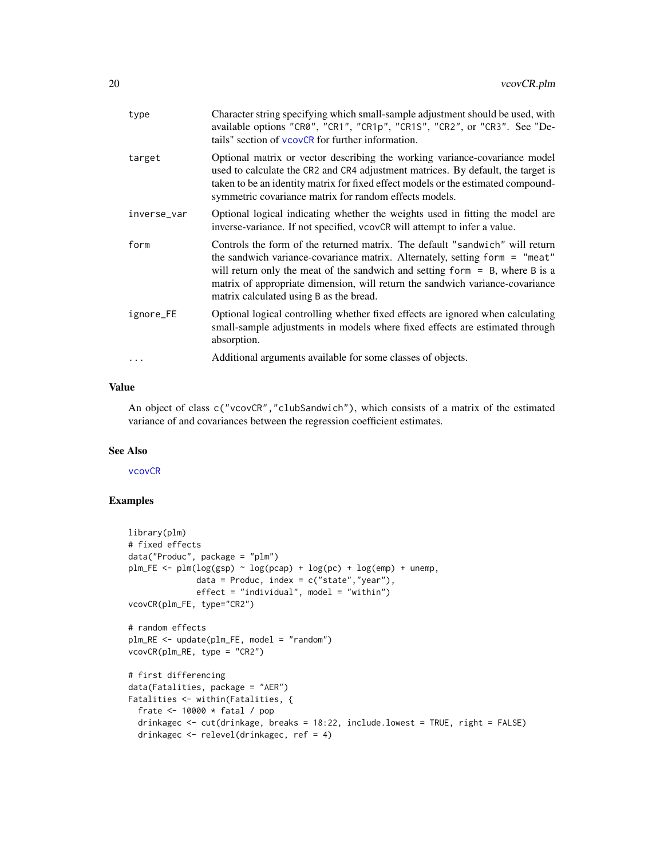| type        | Character string specifying which small-sample adjustment should be used, with<br>available options "CR0", "CR1", "CR1p", "CR1S", "CR2", or "CR3". See "De-<br>tails" section of vcovCR for further information.                                                                                                                                                          |
|-------------|---------------------------------------------------------------------------------------------------------------------------------------------------------------------------------------------------------------------------------------------------------------------------------------------------------------------------------------------------------------------------|
| target      | Optional matrix or vector describing the working variance-covariance model<br>used to calculate the CR2 and CR4 adjustment matrices. By default, the target is<br>taken to be an identity matrix for fixed effect models or the estimated compound-<br>symmetric covariance matrix for random effects models.                                                             |
| inverse_var | Optional logical indicating whether the weights used in fitting the model are<br>inverse-variance. If not specified, vcovCR will attempt to infer a value.                                                                                                                                                                                                                |
| form        | Controls the form of the returned matrix. The default "sandwich" will return<br>the sandwich variance-covariance matrix. Alternately, setting form = "meat"<br>will return only the meat of the sandwich and setting form $=$ B, where B is a<br>matrix of appropriate dimension, will return the sandwich variance-covariance<br>matrix calculated using B as the bread. |
| ignore_FE   | Optional logical controlling whether fixed effects are ignored when calculating<br>small-sample adjustments in models where fixed effects are estimated through<br>absorption.                                                                                                                                                                                            |
| $\cdots$    | Additional arguments available for some classes of objects.                                                                                                                                                                                                                                                                                                               |
|             |                                                                                                                                                                                                                                                                                                                                                                           |

An object of class c("vcovCR","clubSandwich"), which consists of a matrix of the estimated variance of and covariances between the regression coefficient estimates.

#### See Also

[vcovCR](#page-9-1)

# Examples

```
library(plm)
# fixed effects
data("Produc", package = "plm")
plm_FE \leq plm(log(gsp) \sim log(pcap) + log(pc) + log(emp) + unemp,data = Produc, index = c("state", "year"),effect = "individual", model = "within")vcovCR(plm_FE, type="CR2")
# random effects
plm_RE <- update(plm_FE, model = "random")
vcovCR(plm_RE, type = "CR2")
# first differencing
data(Fatalities, package = "AER")
Fatalities <- within(Fatalities, {
  frate <- 10000 * fatal / pop
  drinkagec <- cut(drinkage, breaks = 18:22, include.lowest = TRUE, right = FALSE)
  drinkagec <- relevel(drinkagec, ref = 4)
```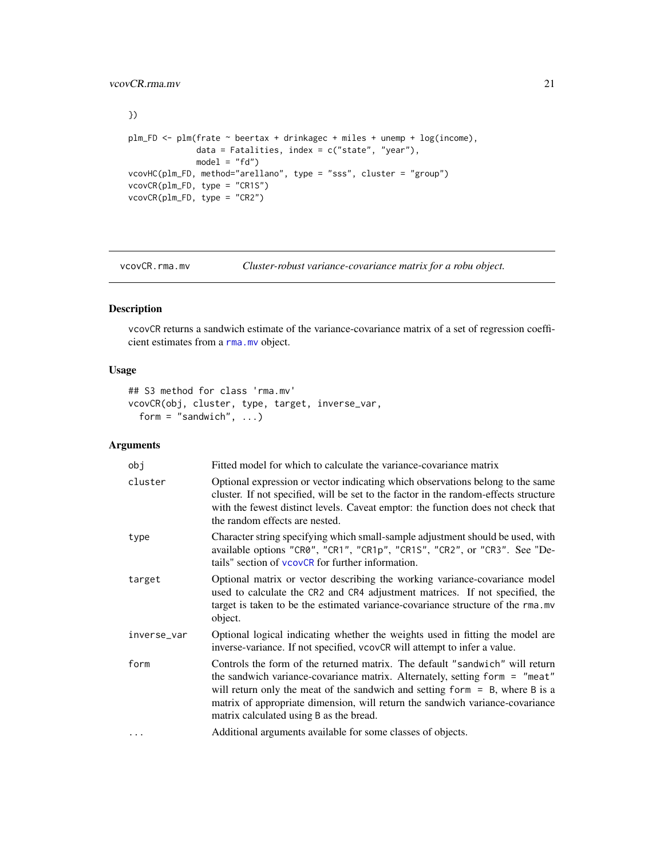```
})
plm_FD <- plm(frate ~ beertax + drinkagec + miles + unemp + log(income),
             data = Fatalities, index = c("state", "year"),model = "fd")vcovHC(plm_FD, method="arellano", type = "sss", cluster = "group")
vcovCR(plm_FD, type = "CR1S")
vcovCR(plm_FD, type = "CR2")
```
<span id="page-20-1"></span>vcovCR.rma.mv *Cluster-robust variance-covariance matrix for a robu object.*

# Description

vcovCR returns a sandwich estimate of the variance-covariance matrix of a set of regression coefficient estimates from a [rma.mv](#page-0-0) object.

# Usage

```
## S3 method for class 'rma.mv'
vcovCR(obj, cluster, type, target, inverse_var,
  form = "sandwich", \ldots)
```
# Arguments

| obj         | Fitted model for which to calculate the variance-covariance matrix                                                                                                                                                                                                                                                                                                        |
|-------------|---------------------------------------------------------------------------------------------------------------------------------------------------------------------------------------------------------------------------------------------------------------------------------------------------------------------------------------------------------------------------|
| cluster     | Optional expression or vector indicating which observations belong to the same<br>cluster. If not specified, will be set to the factor in the random-effects structure<br>with the fewest distinct levels. Caveat emptor: the function does not check that<br>the random effects are nested.                                                                              |
| type        | Character string specifying which small-sample adjustment should be used, with<br>available options "CR0", "CR1", "CR1p", "CR1S", "CR2", or "CR3". See "De-<br>tails" section of vcovCR for further information.                                                                                                                                                          |
| target      | Optional matrix or vector describing the working variance-covariance model<br>used to calculate the CR2 and CR4 adjustment matrices. If not specified, the<br>target is taken to be the estimated variance-covariance structure of the rma.mv<br>object.                                                                                                                  |
| inverse_var | Optional logical indicating whether the weights used in fitting the model are<br>inverse-variance. If not specified, vcovCR will attempt to infer a value.                                                                                                                                                                                                                |
| form        | Controls the form of the returned matrix. The default "sandwich" will return<br>the sandwich variance-covariance matrix. Alternately, setting form = "meat"<br>will return only the meat of the sandwich and setting form $=$ B, where B is a<br>matrix of appropriate dimension, will return the sandwich variance-covariance<br>matrix calculated using B as the bread. |
| $\ddots$ .  | Additional arguments available for some classes of objects.                                                                                                                                                                                                                                                                                                               |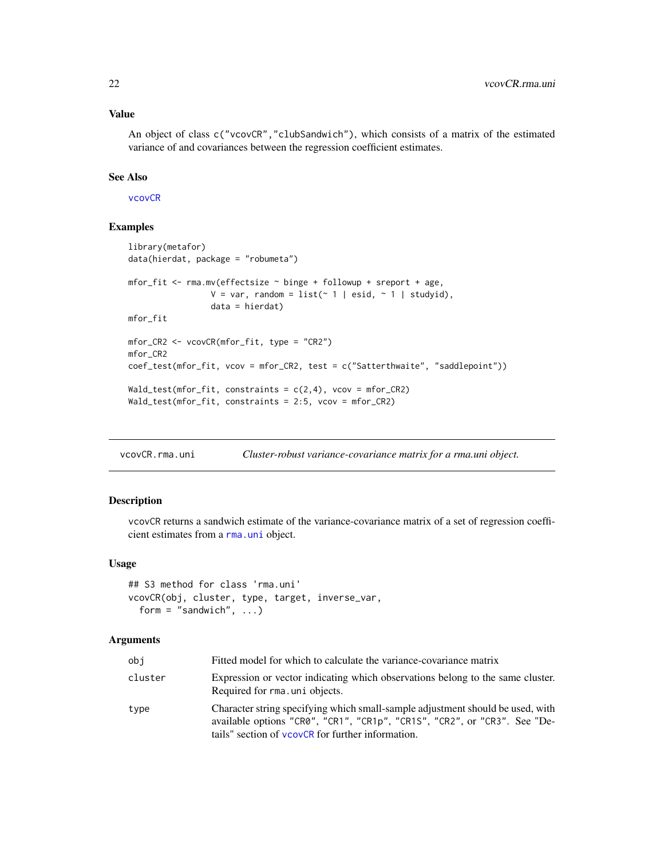<span id="page-21-0"></span>An object of class c("vcovCR","clubSandwich"), which consists of a matrix of the estimated variance of and covariances between the regression coefficient estimates.

#### See Also

[vcovCR](#page-9-1)

# Examples

```
library(metafor)
data(hierdat, package = "robumeta")
mfor_fit <- rma.mv(effectsize ~ binge + followup + sreport + age,
                 V = var, random = list(~ 1 | esid, ~ 1 | studyid),
                 data = hierdat)
mfor_fit
mfor_CR2 <- vcovCR(mfor_fit, type = "CR2")
mfor_CR2
coef_test(mfor_fit, vcov = mfor_CR2, test = c("Satterthwaite", "saddlepoint"))
Wald_test(mfor_fit, constraints = c(2,4), vcov = mfor_CR2)
Wald_test(mfor_fit, constraints = 2:5, vcov = mfor_CR2)
```
<span id="page-21-1"></span>vcovCR.rma.uni *Cluster-robust variance-covariance matrix for a rma.uni object.*

#### Description

vcovCR returns a sandwich estimate of the variance-covariance matrix of a set of regression coefficient estimates from a [rma.uni](#page-0-0) object.

#### Usage

```
## S3 method for class 'rma.uni'
vcovCR(obj, cluster, type, target, inverse_var,
  form = "sandwich", \ldots)
```
#### Arguments

| obi     | Fitted model for which to calculate the variance-covariance matrix                                                                                                                                               |
|---------|------------------------------------------------------------------------------------------------------------------------------------------------------------------------------------------------------------------|
| cluster | Expression or vector indicating which observations belong to the same cluster.<br>Required for rma. uni objects.                                                                                                 |
| type    | Character string specifying which small-sample adjustment should be used, with<br>available options "CR0", "CR1", "CR1p", "CR1S", "CR2", or "CR3". See "De-<br>tails" section of vcovCR for further information. |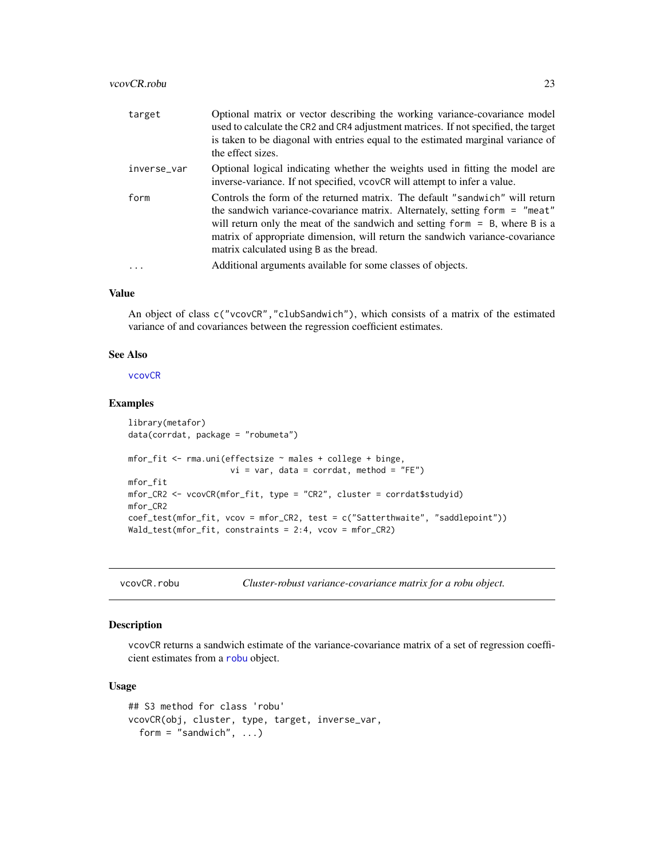#### <span id="page-22-0"></span>vcovCR.robu 23

| target      | Optional matrix or vector describing the working variance-covariance model<br>used to calculate the CR2 and CR4 adjustment matrices. If not specified, the target<br>is taken to be diagonal with entries equal to the estimated marginal variance of<br>the effect sizes.                                                                                                                                                               |
|-------------|------------------------------------------------------------------------------------------------------------------------------------------------------------------------------------------------------------------------------------------------------------------------------------------------------------------------------------------------------------------------------------------------------------------------------------------|
| inverse_var | Optional logical indicating whether the weights used in fitting the model are<br>inverse-variance. If not specified, vcovCR will attempt to infer a value.                                                                                                                                                                                                                                                                               |
| form        | Controls the form of the returned matrix. The default "sandwich" will return<br>the sandwich variance-covariance matrix. Alternately, setting form = "meat"<br>will return only the meat of the sandwich and setting form $=$ B, where B is a<br>matrix of appropriate dimension, will return the sandwich variance-covariance<br>matrix calculated using B as the bread.<br>Additional arguments available for some classes of objects. |
|             |                                                                                                                                                                                                                                                                                                                                                                                                                                          |

# Value

An object of class c("vcovCR","clubSandwich"), which consists of a matrix of the estimated variance of and covariances between the regression coefficient estimates.

#### See Also

[vcovCR](#page-9-1)

# Examples

```
library(metafor)
data(corrdat, package = "robumeta")
mfor_fit <- rma.uni(effectsize ~ males + college + binge,
                    vi = var, data = corrdat, method = "FE")
mfor_fit
mfor_CR2 <- vcovCR(mfor_fit, type = "CR2", cluster = corrdat$studyid)
mfor_CR2
coef_test(mfor_fit, vcov = mfor_CR2, test = c("Satterthwaite", "saddlepoint"))
Wald_test(mfor_fit, constraints = 2:4, vcov = mfor_CR2)
```
<span id="page-22-1"></span>vcovCR.robu *Cluster-robust variance-covariance matrix for a robu object.*

# Description

vcovCR returns a sandwich estimate of the variance-covariance matrix of a set of regression coefficient estimates from a [robu](#page-0-0) object.

#### Usage

```
## S3 method for class 'robu'
vcovCR(obj, cluster, type, target, inverse_var,
  form = "sandwich", \ldots)
```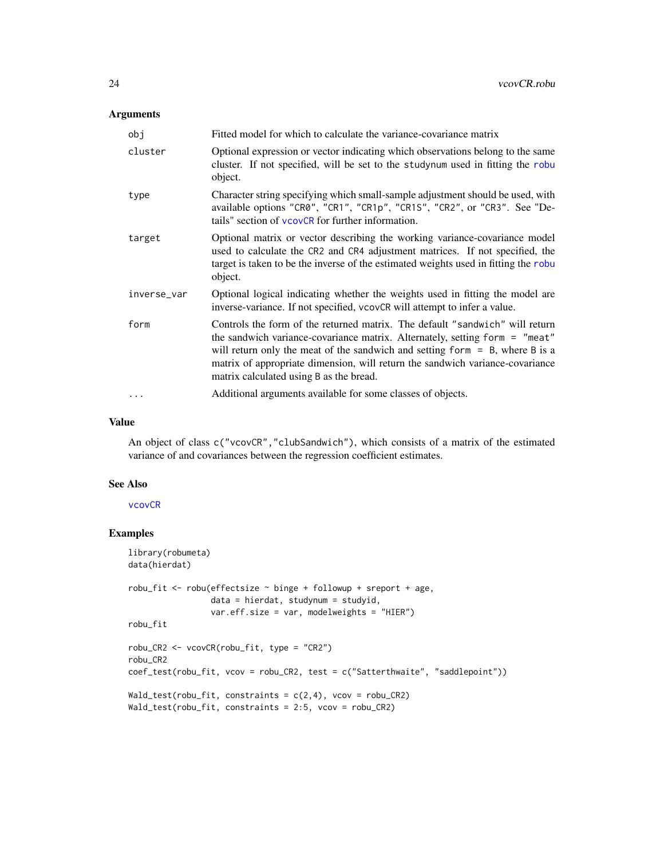# <span id="page-23-0"></span>Arguments

| obj         | Fitted model for which to calculate the variance-covariance matrix                                                                                                                                                                                                                                                                                                        |
|-------------|---------------------------------------------------------------------------------------------------------------------------------------------------------------------------------------------------------------------------------------------------------------------------------------------------------------------------------------------------------------------------|
| cluster     | Optional expression or vector indicating which observations belong to the same<br>cluster. If not specified, will be set to the studynum used in fitting the robu<br>object.                                                                                                                                                                                              |
| type        | Character string specifying which small-sample adjustment should be used, with<br>available options "CR0", "CR1", "CR1p", "CR1S", "CR2", or "CR3". See "De-<br>tails" section of vcovCR for further information.                                                                                                                                                          |
| target      | Optional matrix or vector describing the working variance-covariance model<br>used to calculate the CR2 and CR4 adjustment matrices. If not specified, the<br>target is taken to be the inverse of the estimated weights used in fitting the robu<br>object.                                                                                                              |
| inverse_var | Optional logical indicating whether the weights used in fitting the model are<br>inverse-variance. If not specified, vcovCR will attempt to infer a value.                                                                                                                                                                                                                |
| form        | Controls the form of the returned matrix. The default "sandwich" will return<br>the sandwich variance-covariance matrix. Alternately, setting form = "meat"<br>will return only the meat of the sandwich and setting form $=$ B, where B is a<br>matrix of appropriate dimension, will return the sandwich variance-covariance<br>matrix calculated using B as the bread. |
| $\cdots$    | Additional arguments available for some classes of objects.                                                                                                                                                                                                                                                                                                               |

#### Value

An object of class c("vcovCR","clubSandwich"), which consists of a matrix of the estimated variance of and covariances between the regression coefficient estimates.

# See Also

[vcovCR](#page-9-1)

# Examples

```
library(robumeta)
data(hierdat)
robu_fit <- robu(effectsize ~ binge + followup + sreport + age,
                 data = hierdat, studynum = studyid,
                 var.eff.size = var, modelweights = "HIER")
robu_fit
robu_CR2 <- vcovCR(robu_fit, type = "CR2")
robu_CR2
coef_test(robu_fit, vcov = robu_CR2, test = c("Satterthwaite", "saddlepoint"))
Wald_test(robu_fit, constraints = c(2,4), vcov = robu_CR2)
Wald_test(robu_fit, constraints = 2:5, vcov = robu_CR2)
```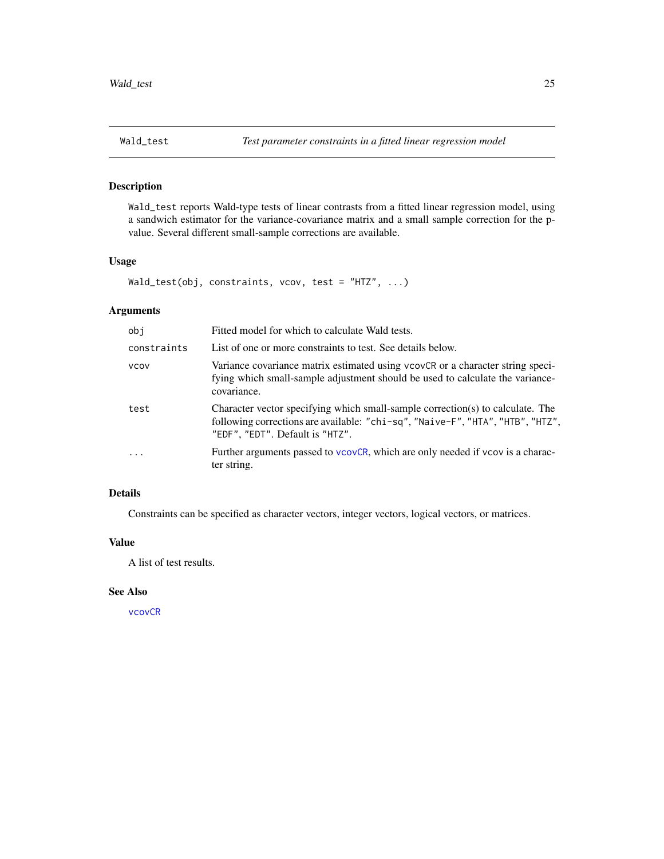<span id="page-24-0"></span>

# Description

Wald\_test reports Wald-type tests of linear contrasts from a fitted linear regression model, using a sandwich estimator for the variance-covariance matrix and a small sample correction for the pvalue. Several different small-sample corrections are available.

# Usage

```
Wald_test(obj, constraints, vcov, test = "HTZ", ...)
```
# Arguments

| obj         | Fitted model for which to calculate Wald tests.                                                                                                                                                     |
|-------------|-----------------------------------------------------------------------------------------------------------------------------------------------------------------------------------------------------|
| constraints | List of one or more constraints to test. See details below.                                                                                                                                         |
| <b>VCOV</b> | Variance covariance matrix estimated using vcovCR or a character string speci-<br>fying which small-sample adjustment should be used to calculate the variance-<br>covariance.                      |
| test        | Character vector specifying which small-sample correction(s) to calculate. The<br>following corrections are available: "chi-sq", "Naive-F", "HTA", "HTB", "HTZ",<br>"EDF", "EDT". Default is "HTZ". |
| $\ddots$    | Further arguments passed to vcovCR, which are only needed if vcov is a charac-<br>ter string.                                                                                                       |

# Details

Constraints can be specified as character vectors, integer vectors, logical vectors, or matrices.

# Value

A list of test results.

# See Also

[vcovCR](#page-9-1)